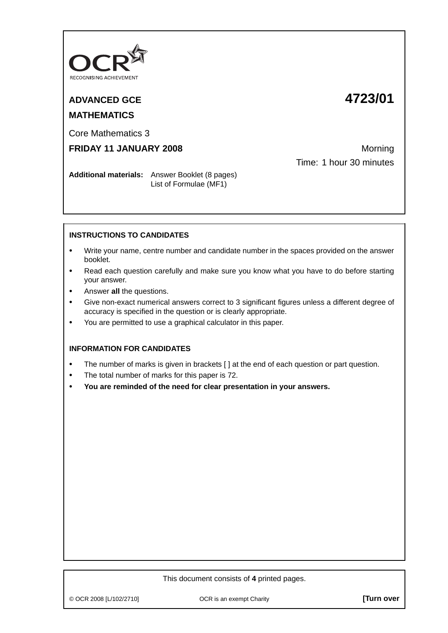

# **MATHEMATICS**

# **ADVANCED GCE 4723/01**

Core Mathematics 3

## **FRIDAY 11 JANUARY 2008** Morning

Time: 1 hour 30 minutes

**Additional materials:** Answer Booklet (8 pages) List of Formulae (MF1)

### **INSTRUCTIONS TO CANDIDATES**

- **•** Write your name, centre number and candidate number in the spaces provided on the answer booklet.
- **•** Read each question carefully and make sure you know what you have to do before starting your answer.
- **•** Answer **all** the questions.
- **•** Give non-exact numerical answers correct to 3 significant figures unless a different degree of accuracy is specified in the question or is clearly appropriate.
- **•** You are permitted to use a graphical calculator in this paper.

#### **INFORMATION FOR CANDIDATES**

- The number of marks is given in brackets [ ] at the end of each question or part question.
- **•** The total number of marks for this paper is 72.
- **• You are reminded of the need for clear presentation in your answers.**

#### This document consists of **4** printed pages.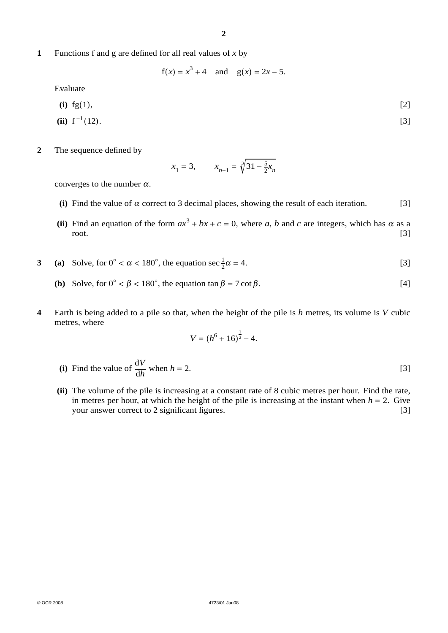**1** Functions f and g are defined for all real values of *x* by

 $f(x) = x^3 + 4$  and  $g(x) = 2x - 5$ .

Evaluate

$$
(i) \t f g(1), \t [2]
$$

(ii) 
$$
f^{-1}(12)
$$
. [3]

**2** The sequence defined by

$$
x_1 = 3
$$
,  $x_{n+1} = \sqrt[3]{31 - \frac{5}{2}x_n}$ 

converges to the number  $\alpha$ .

- (i) Find the value of  $\alpha$  correct to 3 decimal places, showing the result of each iteration. [3]
- (ii) Find an equation of the form  $ax^3 + bx + c = 0$ , where *a*, *b* and *c* are integers, which has  $\alpha$  as a root. [3] root. [3]
- **3** (a) Solve, for  $0° < \alpha < 180°$ , the equation sec  $\frac{1}{2}\alpha = 4$ . [3]
	- (b) Solve, for  $0^\circ < \beta < 180^\circ$ , the equation  $\tan \beta = 7 \cot \beta$ . [4]
- **4** Earth is being added to a pile so that, when the height of the pile is *h* metres, its volume is *V* cubic metres, where

$$
V = (h^6 + 16)^{\frac{1}{2}} - 4.
$$

(i) Find the value of  $\frac{dV}{dh}$  when *h* = 2. [3]

**(ii)** The volume of the pile is increasing at a constant rate of 8 cubic metres per hour. Find the rate, in metres per hour, at which the height of the pile is increasing at the instant when  $h = 2$ . Give your answer correct to 2 significant figures. [3] your answer correct to 2 significant figures.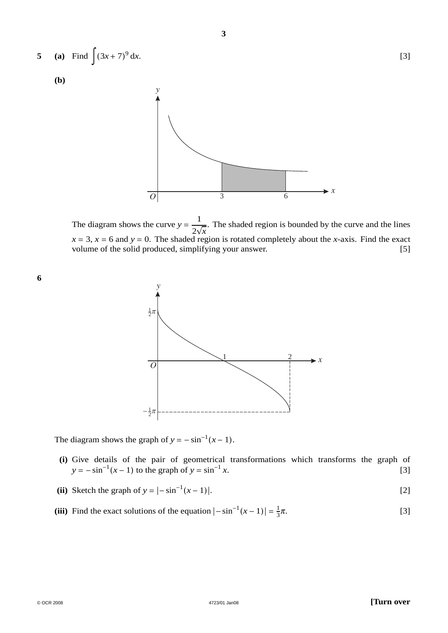

**3**

The diagram shows the curve  $y = \frac{1}{2\sqrt{x}}$ . The shaded region is bounded by the curve and the lines  $x = 3$ ,  $x = 6$  and  $y = 0$ . The shaded region is rotated completely about the *x*-axis. Find the exact volume of the solid produced, simplifying your answer. [5]

**6**



The diagram shows the graph of  $y = -\sin^{-1}(x - 1)$ .

- **(i)** Give details of the pair of geometrical transformations which transforms the graph of  $y = -\sin^{-1}(x - 1)$  to the graph of  $y = \sin^{-1} x$ . [3]
- (ii) Sketch the graph of  $y = |-sin^{-1}(x 1)|$ . [2]
- (iii) Find the exact solutions of the equation  $|-\sin^{-1}(x-1)| = \frac{1}{3}$  $\pi$ . [3]